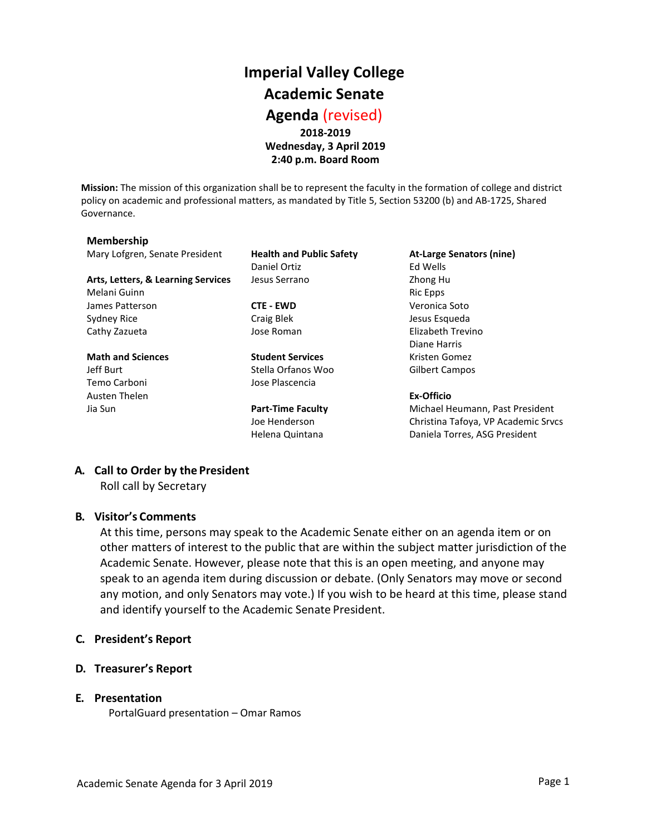# **Imperial Valley College Academic Senate Agenda** (revised) **2018-2019**

**Wednesday, 3 April 2019 2:40 p.m. Board Room**

**Mission:** The mission of this organization shall be to represent the faculty in the formation of college and district policy on academic and professional matters, as mandated by Title 5, Section 53200 (b) and AB-1725, Shared Governance.

#### **Membership**

Mary Lofgren, Senate President **Health and Public Safety At-Large Senators (nine)**

Arts, Letters, & Learning Services Jesus Serrano **Zhong Human** Zhong Human Zhong Human Zhong Human Zhong Human Zhong Human Zhong Human Zhong Human Zhong Human Zhong Human Zhong Human Zhong Human Zhong Human Zhong Human Zho Melani Guinn **Ric Epps** and Ric Epps **Ric Epps Ric Epps** James Patterson **CTE - EWD** Veronica Soto Sydney Rice **Craig Blek** Craig Blek Jesus Esqueda Cathy Zazueta Jose Roman Elizabeth Trevino

Temo Carboni Jose Plascencia Austen Thelen **Ex-Officio**

Daniel Ortiz **Ed Wells** 

**Math and Sciences Student Services Student Services** Kristen Gomez Jeff Burt Stella Orfanos Woo Gilbert Campos

Diane Harris

Jia Sun **Part-Time Faculty** Michael Heumann, Past President Joe Henderson Christina Tafoya, VP Academic Srvcs Helena Quintana **Daniela Torres, ASG President** 

# **A. Call to Order by the President**

Roll call by Secretary

# **B. Visitor's Comments**

At this time, persons may speak to the Academic Senate either on an agenda item or on other matters of interest to the public that are within the subject matter jurisdiction of the Academic Senate. However, please note that this is an open meeting, and anyone may speak to an agenda item during discussion or debate. (Only Senators may move or second any motion, and only Senators may vote.) If you wish to be heard at this time, please stand and identify yourself to the Academic Senate President.

# **C. President's Report**

**D. Treasurer's Report**

# **E. Presentation**

PortalGuard presentation – Omar Ramos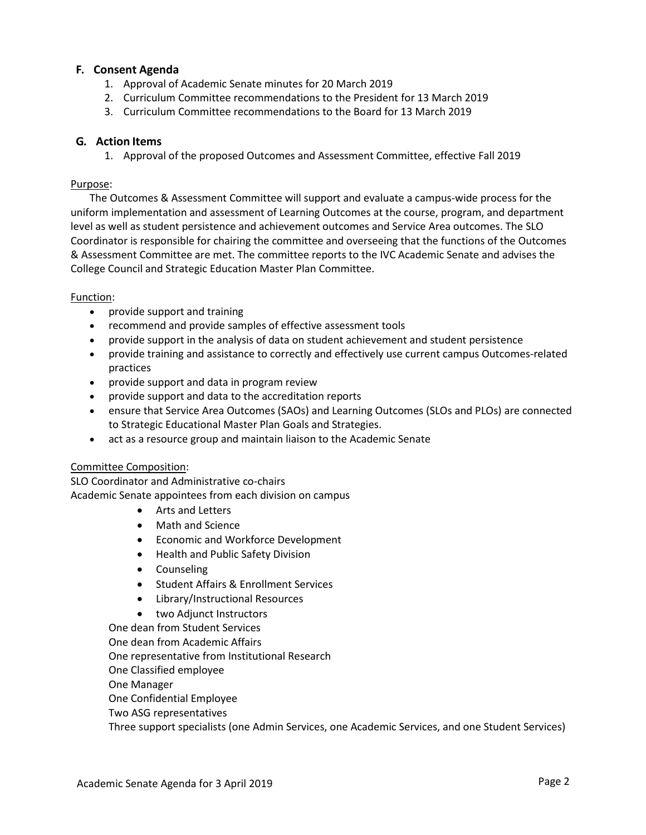# **F. Consent Agenda**

- 1. Approval of Academic Senate minutes for 20 March 2019
- 2. Curriculum Committee recommendations to the President for 13 March 2019
- 3. Curriculum Committee recommendations to the Board for 13 March 2019

# **G. Action Items**

1. Approval of the proposed Outcomes and Assessment Committee, effective Fall 2019

### Purpose:

The Outcomes & Assessment Committee will support and evaluate a campus-wide process for the uniform implementation and assessment of Learning Outcomes at the course, program, and department level as well as student persistence and achievement outcomes and Service Area outcomes. The SLO Coordinator is responsible for chairing the committee and overseeing that the functions of the Outcomes & Assessment Committee are met. The committee reports to the IVC Academic Senate and advises the College Council and Strategic Education Master Plan Committee.

#### Function:

- provide support and training
- recommend and provide samples of effective assessment tools
- provide support in the analysis of data on student achievement and student persistence
- provide training and assistance to correctly and effectively use current campus Outcomes-related practices
- provide support and data in program review
- provide support and data to the accreditation reports
- ensure that Service Area Outcomes (SAOs) and Learning Outcomes (SLOs and PLOs) are connected to Strategic Educational Master Plan Goals and Strategies.
- act as a resource group and maintain liaison to the Academic Senate

# Committee Composition:

SLO Coordinator and Administrative co-chairs Academic Senate appointees from each division on campus

- Arts and Letters
- Math and Science
- Economic and Workforce Development
- Health and Public Safety Division
- Counseling
- Student Affairs & Enrollment Services
- Library/Instructional Resources
- two Adjunct Instructors
- One dean from Student Services
- One dean from Academic Affairs
- One representative from Institutional Research
- One Classified employee
- One Manager
- One Confidential Employee
- Two ASG representatives

Three support specialists (one Admin Services, one Academic Services, and one Student Services)